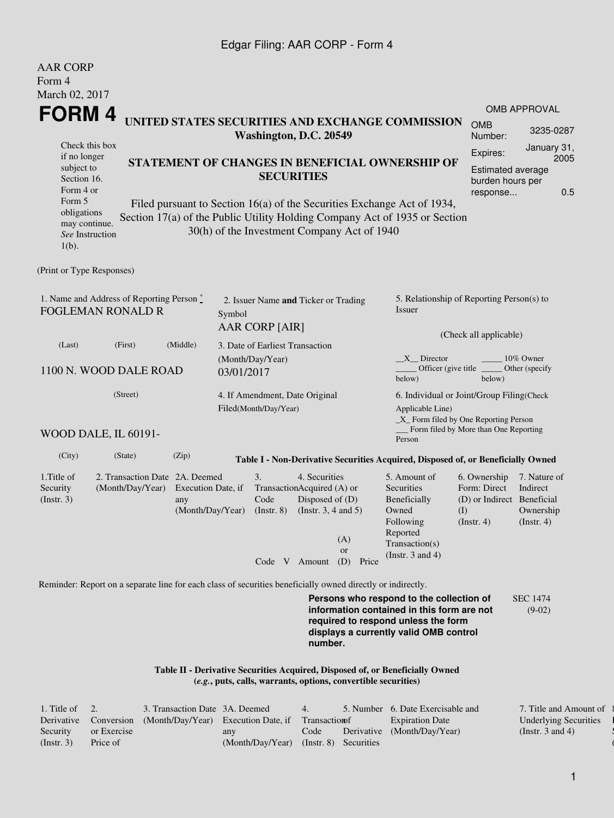## Edgar Filing: AAR CORP - Form 4

| <b>AAR CORP</b><br>Form 4                                                          |                                                                                                             |                                                                         |            |                                                         |                                                                                            |                                                                |                                                                                                                                                                         |                                                                                       |                                                        |  |
|------------------------------------------------------------------------------------|-------------------------------------------------------------------------------------------------------------|-------------------------------------------------------------------------|------------|---------------------------------------------------------|--------------------------------------------------------------------------------------------|----------------------------------------------------------------|-------------------------------------------------------------------------------------------------------------------------------------------------------------------------|---------------------------------------------------------------------------------------|--------------------------------------------------------|--|
| March 02, 2017                                                                     |                                                                                                             |                                                                         |            |                                                         |                                                                                            |                                                                |                                                                                                                                                                         |                                                                                       |                                                        |  |
| FORM 4                                                                             |                                                                                                             |                                                                         |            |                                                         |                                                                                            |                                                                |                                                                                                                                                                         |                                                                                       | <b>OMB APPROVAL</b>                                    |  |
|                                                                                    |                                                                                                             |                                                                         |            | Washington, D.C. 20549                                  |                                                                                            |                                                                | UNITED STATES SECURITIES AND EXCHANGE COMMISSION                                                                                                                        | <b>OMB</b><br>Number:                                                                 | 3235-0287                                              |  |
| Check this box<br>if no longer<br>subject to<br>Section 16.<br>Form 4 or<br>Form 5 |                                                                                                             |                                                                         |            |                                                         | <b>SECURITIES</b>                                                                          |                                                                | STATEMENT OF CHANGES IN BENEFICIAL OWNERSHIP OF<br>Filed pursuant to Section 16(a) of the Securities Exchange Act of 1934,                                              | Expires:<br><b>Estimated average</b><br>burden hours per<br>response                  | January 31,<br>2005<br>0.5                             |  |
| obligations<br>may continue.<br>See Instruction<br>$1(b)$ .                        |                                                                                                             |                                                                         |            |                                                         |                                                                                            | 30(h) of the Investment Company Act of 1940                    | Section 17(a) of the Public Utility Holding Company Act of 1935 or Section                                                                                              |                                                                                       |                                                        |  |
| (Print or Type Responses)                                                          |                                                                                                             |                                                                         |            |                                                         |                                                                                            |                                                                |                                                                                                                                                                         |                                                                                       |                                                        |  |
| 1. Name and Address of Reporting Person $\degree$<br><b>FOGLEMAN RONALD R</b>      |                                                                                                             | 2. Issuer Name and Ticker or Trading<br>Symbol<br><b>AAR CORP [AIR]</b> |            |                                                         |                                                                                            | 5. Relationship of Reporting Person(s) to<br>Issuer            |                                                                                                                                                                         |                                                                                       |                                                        |  |
| (Last)                                                                             | (First)                                                                                                     | (Middle)                                                                |            | 3. Date of Earliest Transaction                         |                                                                                            |                                                                | (Check all applicable)                                                                                                                                                  |                                                                                       |                                                        |  |
|                                                                                    | 1100 N. WOOD DALE ROAD                                                                                      |                                                                         | 03/01/2017 | (Month/Day/Year)                                        |                                                                                            |                                                                | $X$ Director<br>Officer (give title __<br>below)                                                                                                                        | below)                                                                                | 10% Owner<br>Other (specify                            |  |
|                                                                                    | (Street)                                                                                                    |                                                                         |            | 4. If Amendment, Date Original<br>Filed(Month/Day/Year) |                                                                                            |                                                                | 6. Individual or Joint/Group Filing(Check<br>Applicable Line)<br>_X_ Form filed by One Reporting Person                                                                 | Form filed by More than One Reporting                                                 |                                                        |  |
|                                                                                    | WOOD DALE, IL 60191-                                                                                        |                                                                         |            |                                                         |                                                                                            |                                                                | Person                                                                                                                                                                  |                                                                                       |                                                        |  |
| (City)                                                                             | (State)                                                                                                     | (Zip)                                                                   |            |                                                         |                                                                                            |                                                                | Table I - Non-Derivative Securities Acquired, Disposed of, or Beneficially Owned                                                                                        |                                                                                       |                                                        |  |
| 1. Title of<br>Security<br>$($ Instr. 3 $)$                                        | 2. Transaction Date 2A. Deemed<br>(Month/Day/Year)                                                          | Execution Date, if<br>any<br>(Month/Day/Year)                           |            | 3.<br>Code<br>$($ Instr. $8)$                           | 4. Securities<br>TransactionAcquired (A) or<br>Disposed of (D)<br>(Instr. $3, 4$ and $5$ ) | (A)<br><b>or</b>                                               | 5. Amount of<br>Securities<br>Beneficially<br>Owned<br>Following<br>Reported<br>Transaction(s)<br>(Instr. $3$ and $4$ )                                                 | 6. Ownership<br>Form: Direct<br>(D) or Indirect Beneficial<br>(I)<br>$($ Instr. 4 $)$ | 7. Nature of<br>Indirect<br>Ownership<br>$($ Instr. 4) |  |
|                                                                                    |                                                                                                             |                                                                         |            |                                                         |                                                                                            | Code V Amount (D) Price                                        |                                                                                                                                                                         |                                                                                       |                                                        |  |
|                                                                                    | Reminder: Report on a separate line for each class of securities beneficially owned directly or indirectly. |                                                                         |            |                                                         |                                                                                            |                                                                |                                                                                                                                                                         |                                                                                       |                                                        |  |
|                                                                                    |                                                                                                             |                                                                         |            |                                                         | number.                                                                                    |                                                                | Persons who respond to the collection of<br>information contained in this form are not<br>required to respond unless the form<br>displays a currently valid OMB control |                                                                                       | <b>SEC 1474</b><br>$(9-02)$                            |  |
|                                                                                    |                                                                                                             |                                                                         |            |                                                         |                                                                                            | (e.g., puts, calls, warrants, options, convertible securities) | Table II - Derivative Securities Acquired, Disposed of, or Beneficially Owned                                                                                           |                                                                                       |                                                        |  |

| 1. Title of $\quad 2.$ |             | 3. Transaction Date 3A. Deemed                                           |                                        | 4. | 5. Number 6. Date Exercisable and | 7. Title and Amount of       |
|------------------------|-------------|--------------------------------------------------------------------------|----------------------------------------|----|-----------------------------------|------------------------------|
|                        |             | Derivative Conversion (Month/Day/Year) Execution Date, if Transaction of |                                        |    | <b>Expiration Date</b>            | <b>Underlying Securities</b> |
| Security               | or Exercise |                                                                          | any                                    |    | Code Derivative (Month/Day/Year)  | (Instr. 3 and 4)             |
| (Insert, 3)            | Price of    |                                                                          | (Month/Day/Year) (Instr. 8) Securities |    |                                   |                              |

 $\{$ l Security  $($